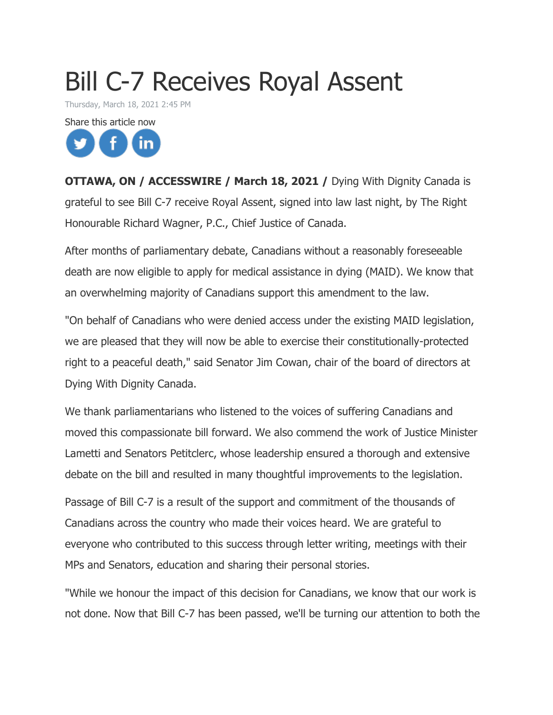## Bill C-7 Receives Royal Assent

Thursday, March 18, 2021 2:45 PM



**OTTAWA, ON / ACCESSWIRE / March 18, 2021 / Dying With Dignity Canada is** grateful to see Bill C-7 receive Royal Assent, signed into law last night, by The Right Honourable Richard Wagner, P.C., Chief Justice of Canada.

After months of parliamentary debate, Canadians without a reasonably foreseeable death are now eligible to apply for medical assistance in dying (MAID). We know that an overwhelming majority of Canadians support this amendment to the law.

"On behalf of Canadians who were denied access under the existing MAID legislation, we are pleased that they will now be able to exercise their constitutionally-protected right to a peaceful death," said Senator Jim Cowan, chair of the board of directors at Dying With Dignity Canada.

We thank parliamentarians who listened to the voices of suffering Canadians and moved this compassionate bill forward. We also commend the work of Justice Minister Lametti and Senators Petitclerc, whose leadership ensured a thorough and extensive debate on the bill and resulted in many thoughtful improvements to the legislation.

Passage of Bill C-7 is a result of the support and commitment of the thousands of Canadians across the country who made their voices heard. We are grateful to everyone who contributed to this success through letter writing, meetings with their MPs and Senators, education and sharing their personal stories.

"While we honour the impact of this decision for Canadians, we know that our work is not done. Now that Bill C-7 has been passed, we'll be turning our attention to both the